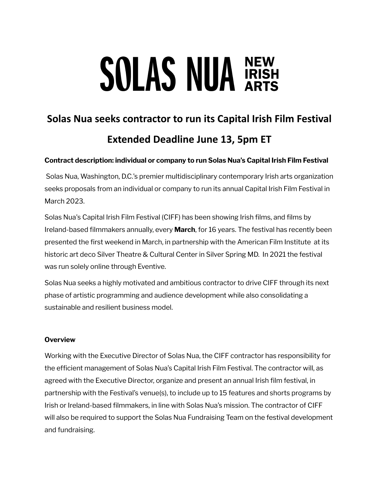# **SOLAS NUA RISH**

# **Solas Nua seeks contractor to run its Capital Irish Film Festival Extended Deadline June 13, 5pm ET**

# **Contract description: individual or company to run Solas Nua's Capital Irish Film Festival**

Solas Nua, Washington, D.C.'s premier multidisciplinary contemporary Irish arts organization seeks proposals from an individual or company to run its annual Capital Irish Film Festival in March 2023.

Solas Nua's Capital Irish Film Festival (CIFF) has been showing Irish films, and films by Ireland-based filmmakers annually, every **March**, for 16 years. The festival has recently been presented the first weekend in March, in partnership with the American Film Institute at its historic art deco Silver Theatre & Cultural Center in Silver Spring MD. In 2021 the festival was run solely online through Eventive.

Solas Nua seeks a highly motivated and ambitious contractor to drive CIFF through its next phase of artistic programming and audience development while also consolidating a sustainable and resilient business model.

#### **Overview**

Working with the Executive Director of Solas Nua, the CIFF contractor has responsibility for the efficient management of Solas Nua's Capital Irish Film Festival. The contractor will, as agreed with the Executive Director, organize and present an annual Irish film festival, in partnership with the Festival's venue(s), to include up to 15 features and shorts programs by Irish or Ireland-based filmmakers, in line with Solas Nua's mission. The contractor of CIFF will also be required to support the Solas Nua Fundraising Team on the festival development and fundraising.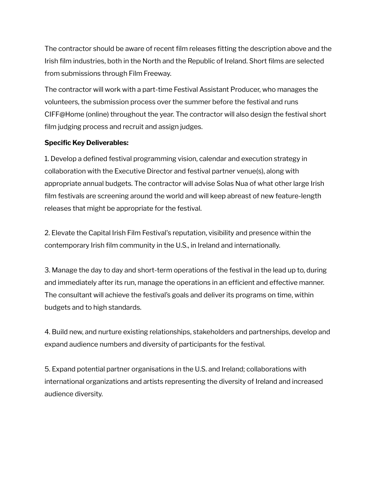The contractor should be aware of recent film releases fitting the description above and the Irish film industries, both in the North and the Republic of Ireland. Short films are selected from submissions through Film Freeway.

The contractor will work with a part-time Festival Assistant Producer, who manages the volunteers, the submission process over the summer before the festival and runs CIFF@Home (online) throughout the year. The contractor will also design the festival short film judging process and recruit and assign judges.

### **Specific Key Deliverables:**

1. Develop a defined festival programming vision, calendar and execution strategy in collaboration with the Executive Director and festival partner venue(s), along with appropriate annual budgets. The contractor will advise Solas Nua of what other large Irish film festivals are screening around the world and will keep abreast of new feature-length releases that might be appropriate for the festival.

2. Elevate the Capital Irish Film Festival's reputation, visibility and presence within the contemporary Irish film community in the U.S., in Ireland and internationally.

3. Manage the day to day and short-term operations of the festival in the lead up to, during and immediately after its run, manage the operations in an efficient and effective manner. The consultant will achieve the festival's goals and deliver its programs on time, within budgets and to high standards.

4. Build new, and nurture existing relationships, stakeholders and partnerships, develop and expand audience numbers and diversity of participants for the festival.

5. Expand potential partner organisations in the U.S. and Ireland; collaborations with international organizations and artists representing the diversity of Ireland and increased audience diversity.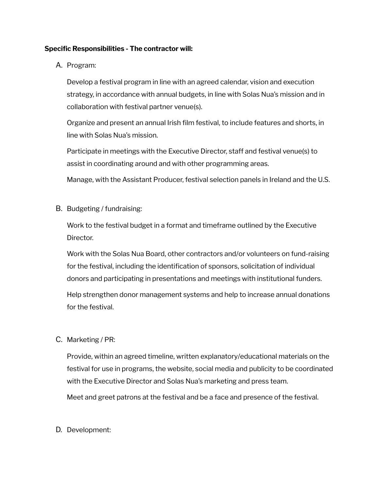#### **Specific Responsibilities - The contractor will:**

#### A. Program:

Develop a festival program in line with an agreed calendar, vision and execution strategy, in accordance with annual budgets, in line with Solas Nua's mission and in collaboration with festival partner venue(s).

Organize and present an annual Irish film festival, to include features and shorts, in line with Solas Nua's mission.

Participate in meetings with the Executive Director, staff and festival venue(s) to assist in coordinating around and with other programming areas.

Manage, with the Assistant Producer, festival selection panels in Ireland and the U.S.

B. Budgeting / fundraising:

Work to the festival budget in a format and timeframe outlined by the Executive Director.

Work with the Solas Nua Board, other contractors and/or volunteers on fund-raising for the festival, including the identification of sponsors, solicitation of individual donors and participating in presentations and meetings with institutional funders.

Help strengthen donor management systems and help to increase annual donations for the festival.

## C. Marketing / PR:

Provide, within an agreed timeline, written explanatory/educational materials on the festival for use in programs, the website, social media and publicity to be coordinated with the Executive Director and Solas Nua's marketing and press team. Meet and greet patrons at the festival and be a face and presence of the festival.

#### D. Development: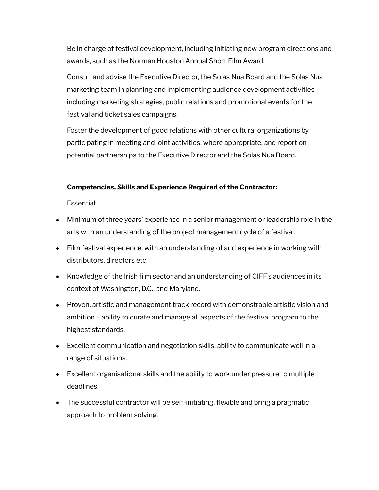Be in charge of festival development, including initiating new program directions and awards, such as the Norman Houston Annual Short Film Award.

Consult and advise the Executive Director, the Solas Nua Board and the Solas Nua marketing team in planning and implementing audience development activities including marketing strategies, public relations and promotional events for the festival and ticket sales campaigns.

Foster the development of good relations with other cultural organizations by participating in meeting and joint activities, where appropriate, and report on potential partnerships to the Executive Director and the Solas Nua Board.

#### **Competencies, Skills and Experience Required of the Contractor:**

Essential:

- Minimum of three years' experience in a senior management or leadership role in the arts with an understanding of the project management cycle of a festival.
- Film festival experience, with an understanding of and experience in working with distributors, directors etc.
- Knowledge of the Irish film sector and an understanding of CIFF's audiences in its context of Washington, D.C., and Maryland.
- Proven, artistic and management track record with demonstrable artistic vision and ambition – ability to curate and manage all aspects of the festival program to the highest standards.
- Excellent communication and negotiation skills, ability to communicate well in a range of situations.
- Excellent organisational skills and the ability to work under pressure to multiple deadlines.
- The successful contractor will be self-initiating, flexible and bring a pragmatic approach to problem solving.